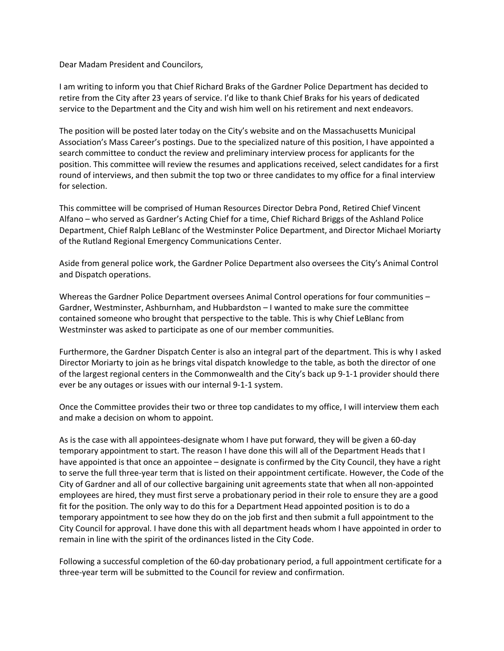Dear Madam President and Councilors,

I am writing to inform you that Chief Richard Braks of the Gardner Police Department has decided to retire from the City after 23 years of service. I'd like to thank Chief Braks for his years of dedicated service to the Department and the City and wish him well on his retirement and next endeavors.

The position will be posted later today on the City's website and on the Massachusetts Municipal Association's Mass Career's postings. Due to the specialized nature of this position, I have appointed a search committee to conduct the review and preliminary interview process for applicants for the position. This committee will review the resumes and applications received, select candidates for a first round of interviews, and then submit the top two or three candidates to my office for a final interview for selection.

This committee will be comprised of Human Resources Director Debra Pond, Retired Chief Vincent Alfano – who served as Gardner's Acting Chief for a time, Chief Richard Briggs of the Ashland Police Department, Chief Ralph LeBlanc of the Westminster Police Department, and Director Michael Moriarty of the Rutland Regional Emergency Communications Center.

Aside from general police work, the Gardner Police Department also oversees the City's Animal Control and Dispatch operations.

Whereas the Gardner Police Department oversees Animal Control operations for four communities – Gardner, Westminster, Ashburnham, and Hubbardston – I wanted to make sure the committee contained someone who brought that perspective to the table. This is why Chief LeBlanc from Westminster was asked to participate as one of our member communities.

Furthermore, the Gardner Dispatch Center is also an integral part of the department. This is why I asked Director Moriarty to join as he brings vital dispatch knowledge to the table, as both the director of one of the largest regional centers in the Commonwealth and the City's back up 9-1-1 provider should there ever be any outages or issues with our internal 9-1-1 system.

Once the Committee provides their two or three top candidates to my office, I will interview them each and make a decision on whom to appoint.

As is the case with all appointees-designate whom I have put forward, they will be given a 60-day temporary appointment to start. The reason I have done this will all of the Department Heads that I have appointed is that once an appointee – designate is confirmed by the City Council, they have a right to serve the full three-year term that is listed on their appointment certificate. However, the Code of the City of Gardner and all of our collective bargaining unit agreements state that when all non-appointed employees are hired, they must first serve a probationary period in their role to ensure they are a good fit for the position. The only way to do this for a Department Head appointed position is to do a temporary appointment to see how they do on the job first and then submit a full appointment to the City Council for approval. I have done this with all department heads whom I have appointed in order to remain in line with the spirit of the ordinances listed in the City Code.

Following a successful completion of the 60-day probationary period, a full appointment certificate for a three-year term will be submitted to the Council for review and confirmation.